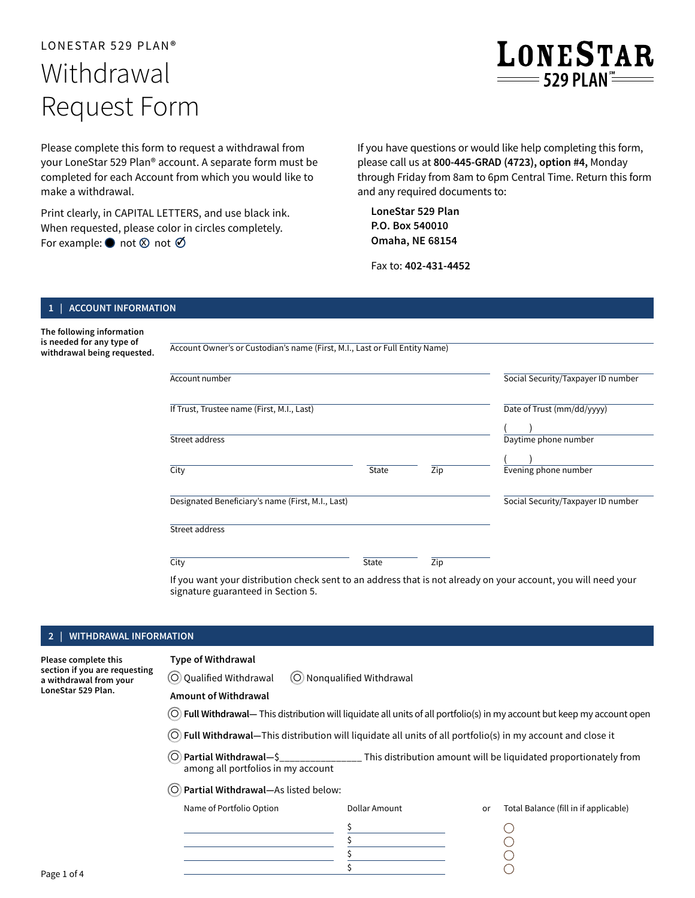# LONESTAR 529 PLAN® Withdrawal Request Form



Please complete this form to request a withdrawal from your LoneStar 529 Plan® account. A separate form must be completed for each Account from which you would like to make a withdrawal.

Print clearly, in CAPITAL LETTERS, and use black ink. When requested, please color in circles completely. For example:  $\bullet$  not  $\otimes$  not  $\oslash$ 

If you have questions or would like help completing this form, please call us at **800-445-GRAD (4723), option #4,** Monday through Friday from 8am to 6pm Central Time. Return this form and any required documents to:

**LoneStar 529 Plan P.O. Box 540010 Omaha, NE 68154**

Fax to: **402-431-4452**

## **1 | ACCOUNT INFORMATION**

**The following information is needed for any type of withdrawal being requested.** 

Account Owner's or Custodian's name (First, M.I., Last or Full Entity Name)

| Account number                                    |       |     | Social Security/Taxpayer ID number |
|---------------------------------------------------|-------|-----|------------------------------------|
| If Trust, Trustee name (First, M.I., Last)        |       |     | Date of Trust (mm/dd/yyyy)         |
| Street address                                    |       |     | Daytime phone number               |
| City                                              | State | Zip | Evening phone number               |
| Designated Beneficiary's name (First, M.I., Last) |       |     | Social Security/Taxpayer ID number |
| Street address                                    |       |     |                                    |
| City                                              | State | Zip |                                    |

If you want your distribution check sent to an address that is not already on your account, you will need your signature guaranteed in Section 5.

# **2 | WITHDRAWAL INFORMATION**

**Please complete this section if you are requesting a withdrawal from your LoneStar 529 Plan.** 

# Type of Withdrawal

O Qualified Withdrawal  $\overline{O}$  Nonqualified Withdrawal

# Amount of Withdrawal

- Full Withdrawal— This distribution will liquidate all units of all portfolio(s) in my account but keep my account open
- $\odot$  Full Withdrawal—This distribution will liquidate all units of all portfolio(s) in my account and close it
- $\circ$  Partial Withdrawal-S This distribution amount will be liquidated proportionately from among all portfolios in my account
- Partial Withdrawal— As listed below:

| Name of Portfolio Option | Dollar Amount | or | Total Balance (fill in if applicable) |
|--------------------------|---------------|----|---------------------------------------|
|                          |               |    |                                       |
|                          |               |    |                                       |
|                          |               |    |                                       |
|                          |               |    |                                       |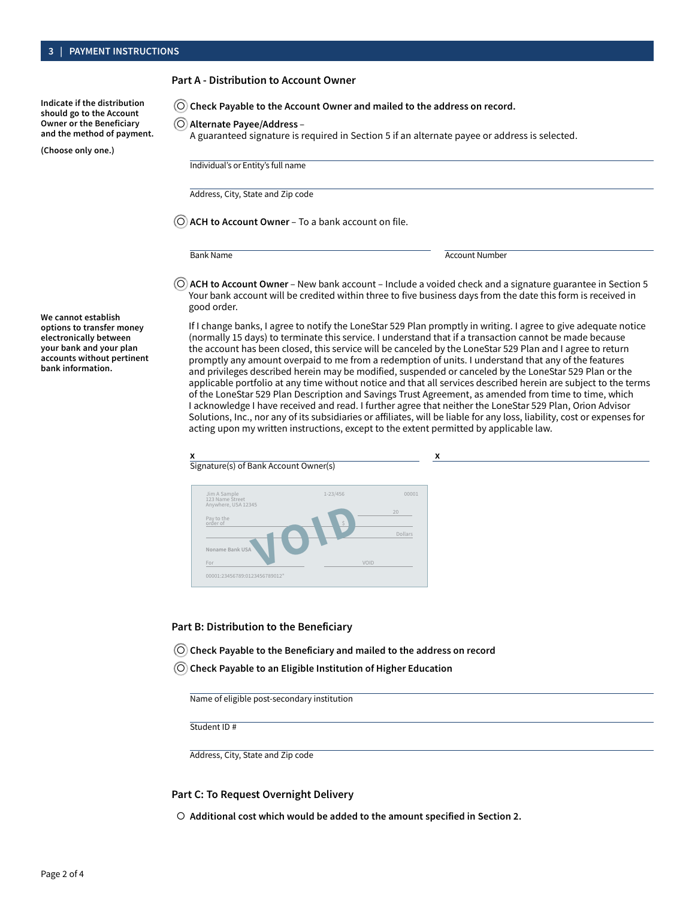#### Part A - Distribution to Account Owner

**Indicate if the distribution should go to the Account Owner or the Beneficiary and the method of payment.** 

**(Choose only one.)**

 $\odot$  Check Payable to the Account Owner and mailed to the address on record.

- Alternate Payee/Address –
- A guaranteed signature is required in Section 5 if an alternate payee or address is selected.

Individual's or Entity's full name

Address, City, State and Zip code

 $\bigcirc$  ACH to Account Owner – To a bank account on file.

Bank Name Account Number

 $\odot$  ACH to Account Owner – New bank account – Include a voided check and a signature guarantee in Section 5 Your bank account will be credited within three to five business days from the date this form is received in good order.

If I change banks, I agree to notify the LoneStar 529 Plan promptly in writing. I agree to give adequate notice (normally 15 days) to terminate this service. I understand that if a transaction cannot be made because the account has been closed, this service will be canceled by the LoneStar 529 Plan and I agree to return promptly any amount overpaid to me from a redemption of units. I understand that any of the features and privileges described herein may be modified, suspended or canceled by the LoneStar 529 Plan or the applicable portfolio at any time without notice and that all services described herein are subject to the terms of the LoneStar 529 Plan Description and Savings Trust Agreement, as amended from time to time, which I acknowledge I have received and read. I further agree that neither the LoneStar 529 Plan, Orion Advisor Solutions, Inc., nor any of its subsidiaries or affiliates, will be liable for any loss, liability, cost or expenses for acting upon my written instructions, except to the extent permitted by applicable law.

| Signature(s) of Bank Account Owner(s)         |              |                      |
|-----------------------------------------------|--------------|----------------------|
| Jim A Sample<br>123 Name Street               | $1 - 23/456$ | 00001                |
| Anywhere, USA 12345<br>Pay to the<br>order of | $\hat{S}$    | 20<br><b>Dollars</b> |
| Noname Bank USA<br>For                        | VOID         |                      |

#### Part B: Distribution to the Beneficiary

- $\odot$  Check Payable to the Beneficiary and mailed to the address on record
- $\odot$  Check Payable to an Eligible Institution of Higher Education

Name of eligible post-secondary institution

Student ID #

Address, City, State and Zip code

#### Part C: To Request Overnight Delivery

 $\circ$  Additional cost which would be added to the amount specified in Section 2.

**We cannot establish options to transfer money electronically between your bank and your plan accounts without pertinent bank information.**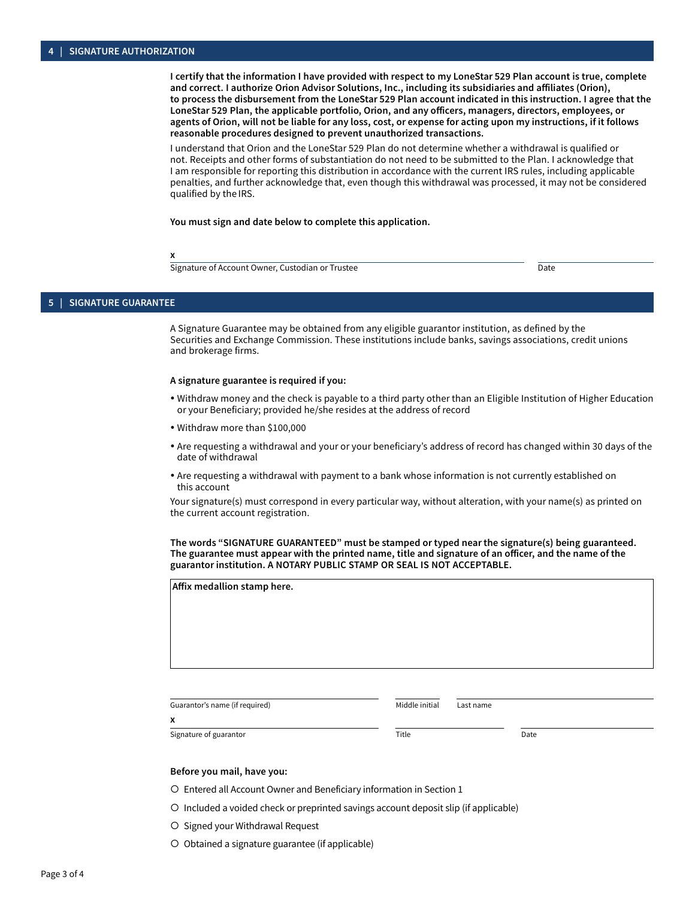I certify that the information I have provided with respect to my LoneStar 529 Plan account is true, complete and correct. I authorize Orion Advisor Solutions, Inc., including its subsidiaries and affiliates (Orion), to process the disbursement from the LoneStar 529 Plan account indicated in this instruction. I agree that the LoneStar 529 Plan, the applicable portfolio, Orion, and any officers, managers, directors, employees, or agents of Orion, will not be liable for any loss, cost, or expense for acting upon my instructions, if it follows reasonable procedures designed to prevent unauthorized transactions.

I understand that Orion and the LoneStar 529 Plan do not determine whether a withdrawal is qualified or not. Receipts and other forms of substantiation do not need to be submitted to the Plan. I acknowledge that I am responsible for reporting this distribution in accordance with the current IRS rules, including applicable penalties, and further acknowledge that, even though this withdrawal was processed, it may not be considered qualified by the IRS.

You must sign and date below to complete this application.

x

Signature of Account Owner, Custodian or Trustee **Date of Account Owner**, Custodian or Trustee Date

### **5 | SIGNATURE GUARANTEE**

A Signature Guarantee may be obtained from any eligible guarantor institution, as defined by the Securities and Exchange Commission. These institutions include banks, savings associations, credit unions and brokerage firms.

#### A signature guarantee is required if you:

- Withdraw money and the check is payable to a third party other than an Eligible Institution of Higher Education or your Beneficiary; provided he/she resides at the address of record
- Withdraw more than \$100,000
- Are requesting a withdrawal and your or your beneficiary's address of record has changed within 30 days of the date of withdrawal
- Are requesting a withdrawal with payment to a bank whose information is not currently established on this account

Your signature(s) must correspond in every particular way, without alteration, with your name(s) as printed on the current account registration.

The words "SIGNATURE GUARANTEED" must be stamped or typed near the signature(s) being guaranteed. The guarantee must appear with the printed name, title and signature of an officer, and the name of the guarantor institution. A NOTARY PUBLIC STAMP OR SEAL IS NOT ACCEPTABLE.

| Affix medallion stamp here.    |                |           |      |  |
|--------------------------------|----------------|-----------|------|--|
|                                |                |           |      |  |
|                                | Middle initial |           |      |  |
| Guarantor's name (if required) |                | Last name |      |  |
| X                              |                |           |      |  |
| Signature of guarantor         | Title          |           | Date |  |

# Before you mail, have you:

- O Entered all Account Owner and Beneficiary information in Section 1
- O Included a voided check or preprinted savings account deposit slip (if applicable)
- O Signed your Withdrawal Request
- O Obtained a signature guarantee (if applicable)